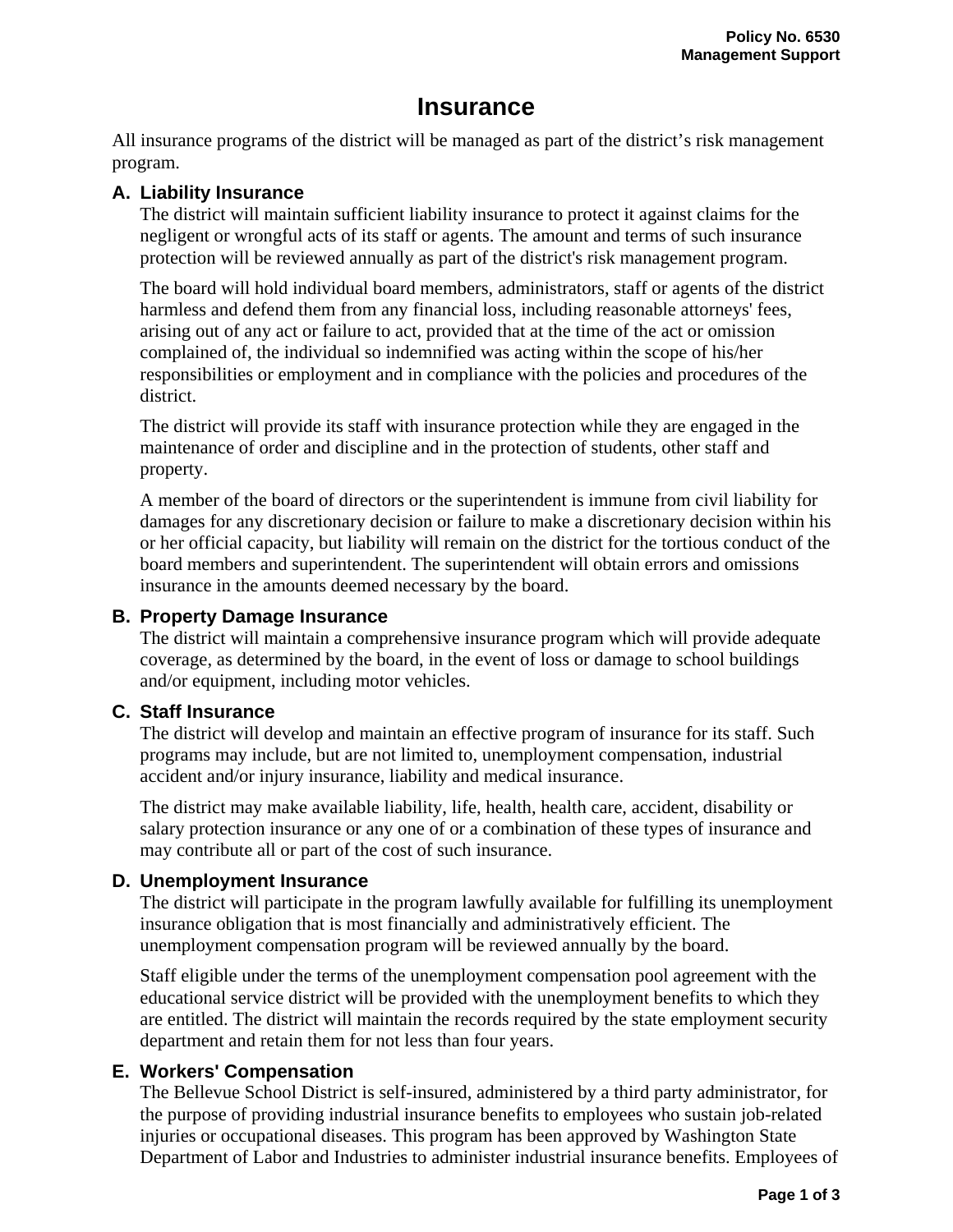# **Insurance**

All insurance programs of the district will be managed as part of the district's risk management program.

## **A. Liability Insurance**

The district will maintain sufficient liability insurance to protect it against claims for the negligent or wrongful acts of its staff or agents. The amount and terms of such insurance protection will be reviewed annually as part of the district's risk management program.

The board will hold individual board members, administrators, staff or agents of the district harmless and defend them from any financial loss, including reasonable attorneys' fees, arising out of any act or failure to act, provided that at the time of the act or omission complained of, the individual so indemnified was acting within the scope of his/her responsibilities or employment and in compliance with the policies and procedures of the district.

The district will provide its staff with insurance protection while they are engaged in the maintenance of order and discipline and in the protection of students, other staff and property.

A member of the board of directors or the superintendent is immune from civil liability for damages for any discretionary decision or failure to make a discretionary decision within his or her official capacity, but liability will remain on the district for the tortious conduct of the board members and superintendent. The superintendent will obtain errors and omissions insurance in the amounts deemed necessary by the board.

## **B. Property Damage Insurance**

The district will maintain a comprehensive insurance program which will provide adequate coverage, as determined by the board, in the event of loss or damage to school buildings and/or equipment, including motor vehicles.

#### **C. Staff Insurance**

The district will develop and maintain an effective program of insurance for its staff. Such programs may include, but are not limited to, unemployment compensation, industrial accident and/or injury insurance, liability and medical insurance.

The district may make available liability, life, health, health care, accident, disability or salary protection insurance or any one of or a combination of these types of insurance and may contribute all or part of the cost of such insurance.

# **D. Unemployment Insurance**

The district will participate in the program lawfully available for fulfilling its unemployment insurance obligation that is most financially and administratively efficient. The unemployment compensation program will be reviewed annually by the board.

Staff eligible under the terms of the unemployment compensation pool agreement with the educational service district will be provided with the unemployment benefits to which they are entitled. The district will maintain the records required by the state employment security department and retain them for not less than four years.

# **E. Workers' Compensation**

The Bellevue School District is self-insured, administered by a third party administrator, for the purpose of providing industrial insurance benefits to employees who sustain job-related injuries or occupational diseases. This program has been approved by Washington State Department of Labor and Industries to administer industrial insurance benefits. Employees of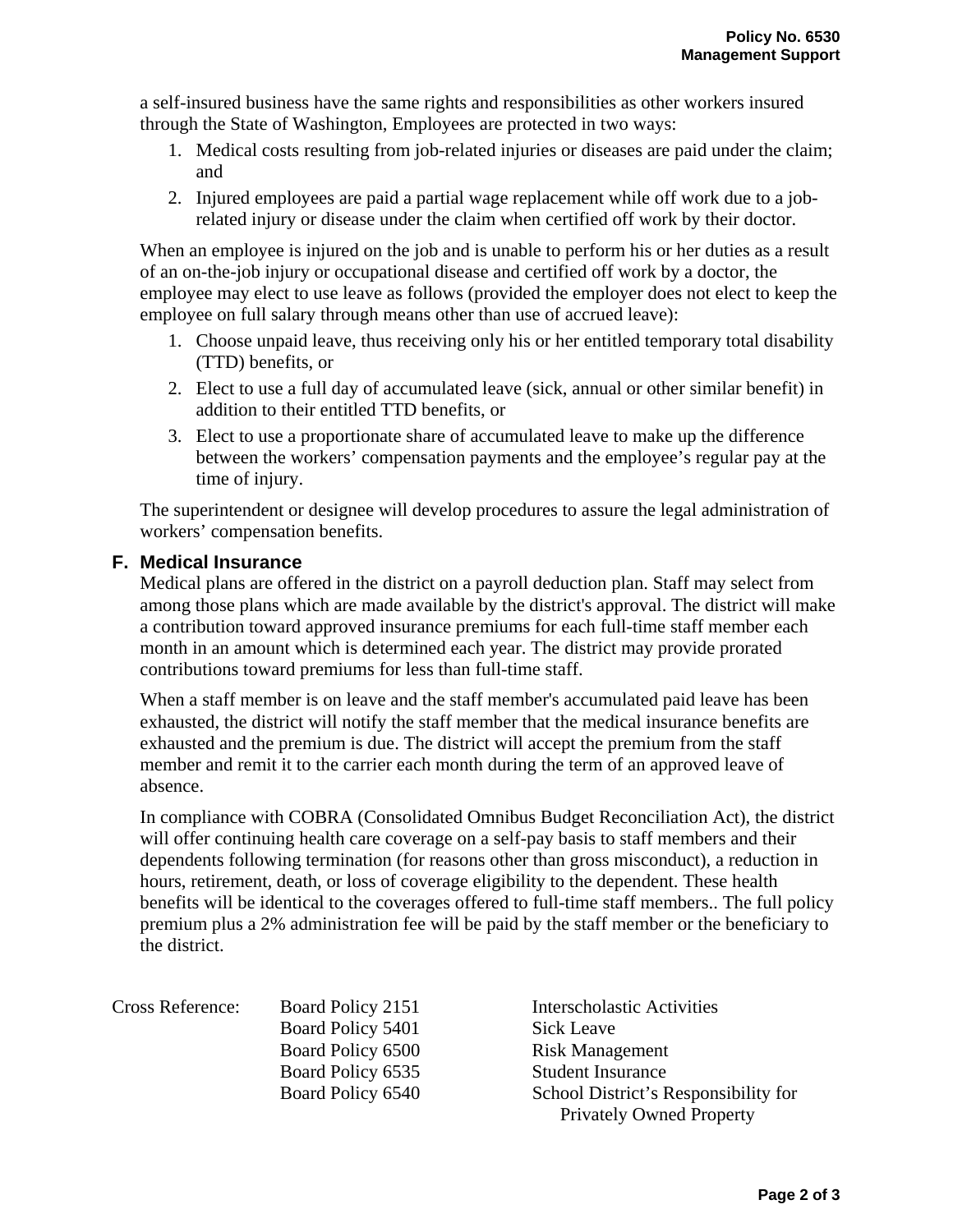a self-insured business have the same rights and responsibilities as other workers insured through the State of Washington, Employees are protected in two ways:

- 1. Medical costs resulting from job-related injuries or diseases are paid under the claim; and
- 2. Injured employees are paid a partial wage replacement while off work due to a jobrelated injury or disease under the claim when certified off work by their doctor.

When an employee is injured on the job and is unable to perform his or her duties as a result of an on-the-job injury or occupational disease and certified off work by a doctor, the employee may elect to use leave as follows (provided the employer does not elect to keep the employee on full salary through means other than use of accrued leave):

- 1. Choose unpaid leave, thus receiving only his or her entitled temporary total disability (TTD) benefits, or
- 2. Elect to use a full day of accumulated leave (sick, annual or other similar benefit) in addition to their entitled TTD benefits, or
- 3. Elect to use a proportionate share of accumulated leave to make up the difference between the workers' compensation payments and the employee's regular pay at the time of injury.

The superintendent or designee will develop procedures to assure the legal administration of workers' compensation benefits.

#### **F. Medical Insurance**

Medical plans are offered in the district on a payroll deduction plan. Staff may select from among those plans which are made available by the district's approval. The district will make a contribution toward approved insurance premiums for each full-time staff member each month in an amount which is determined each year. The district may provide prorated contributions toward premiums for less than full-time staff.

When a staff member is on leave and the staff member's accumulated paid leave has been exhausted, the district will notify the staff member that the medical insurance benefits are exhausted and the premium is due. The district will accept the premium from the staff member and remit it to the carrier each month during the term of an approved leave of absence.

In compliance with COBRA (Consolidated Omnibus Budget Reconciliation Act), the district will offer continuing health care coverage on a self-pay basis to staff members and their dependents following termination (for reasons other than gross misconduct), a reduction in hours, retirement, death, or loss of coverage eligibility to the dependent. These health benefits will be identical to the coverages offered to full-time staff members.. The full policy premium plus a 2% administration fee will be paid by the staff member or the beneficiary to the district.

| <b>Cross Reference:</b> | Board Policy 2151 | <b>Interscholastic Activities</b>    |
|-------------------------|-------------------|--------------------------------------|
|                         | Board Policy 5401 | Sick Leave                           |
|                         | Board Policy 6500 | <b>Risk Management</b>               |
|                         | Board Policy 6535 | <b>Student Insurance</b>             |
|                         | Board Policy 6540 | School District's Responsibility for |
|                         |                   | <b>Privately Owned Property</b>      |